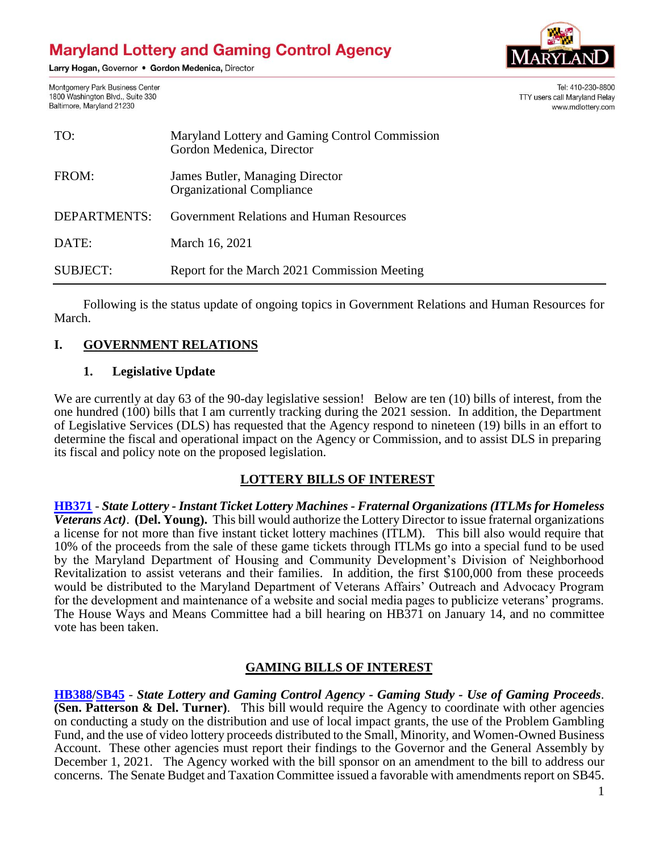# **Maryland Lottery and Gaming Control Agency**

Larry Hogan, Governor . Gordon Medenica, Director



**TTY users call Maryland Relay** 

Tel: 410-230-8800

www.mdlottery.com

Montgomery Park Business Center 1800 Washington Blvd., Suite 330 Baltimore, Maryland 21230

| TO:             | Maryland Lottery and Gaming Control Commission<br>Gordon Medenica, Director |
|-----------------|-----------------------------------------------------------------------------|
| FROM:           | James Butler, Managing Director<br><b>Organizational Compliance</b>         |
| DEPARTMENTS:    | Government Relations and Human Resources                                    |
| DATE:           | March 16, 2021                                                              |
| <b>SUBJECT:</b> | Report for the March 2021 Commission Meeting                                |

Following is the status update of ongoing topics in Government Relations and Human Resources for March.

## **I. GOVERNMENT RELATIONS**

#### **1. Legislative Update**

We are currently at day 63 of the 90-day legislative session! Below are ten (10) bills of interest, from the one hundred (100) bills that I am currently tracking during the 2021 session. In addition, the Department of Legislative Services (DLS) has requested that the Agency respond to nineteen (19) bills in an effort to determine the fiscal and operational impact on the Agency or Commission, and to assist DLS in preparing its fiscal and policy note on the proposed legislation.

#### **LOTTERY BILLS OF INTEREST**

**[HB371](http://mgaleg.maryland.gov/2021RS/bills/hb/hb0371F.pdf)** - *State Lottery - Instant Ticket Lottery Machines - Fraternal Organizations (ITLMs for Homeless Veterans Act)*. **(Del. Young).** This bill would authorize the Lottery Director to issue fraternal organizations a license for not more than five instant ticket lottery machines (ITLM). This bill also would require that 10% of the proceeds from the sale of these game tickets through ITLMs go into a special fund to be used by the Maryland Department of Housing and Community Development's Division of Neighborhood Revitalization to assist veterans and their families. In addition, the first \$100,000 from these proceeds would be distributed to the Maryland Department of Veterans Affairs' Outreach and Advocacy Program for the development and maintenance of a website and social media pages to publicize veterans' programs. The House Ways and Means Committee had a bill hearing on HB371 on January 14, and no committee vote has been taken.

#### **GAMING BILLS OF INTEREST**

**[HB388/](http://mgaleg.maryland.gov/2021RS/bills/hb/hb0388F.pdf)[SB45](http://mgaleg.maryland.gov/2021RS/bills/sb/sb0045F.pdf)** - *State Lottery and Gaming Control Agency - Gaming Study - Use of Gaming Proceeds*. **(Sen. Patterson & Del. Turner)**. This bill would require the Agency to coordinate with other agencies on conducting a study on the distribution and use of local impact grants, the use of the Problem Gambling Fund, and the use of video lottery proceeds distributed to the Small, Minority, and Women-Owned Business Account. These other agencies must report their findings to the Governor and the General Assembly by December 1, 2021. The Agency worked with the bill sponsor on an amendment to the bill to address our concerns. The Senate Budget and Taxation Committee issued a favorable with amendments report on SB45.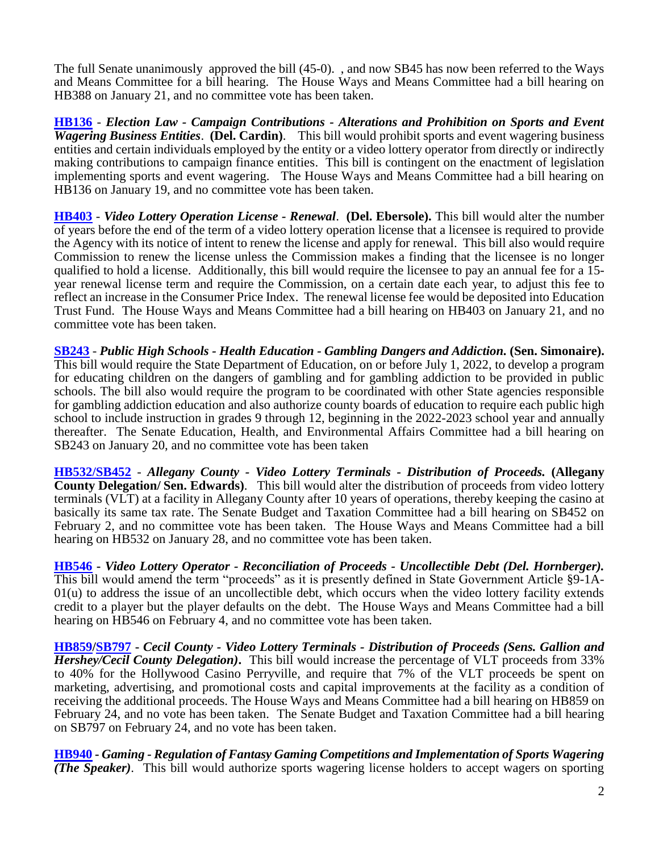The full Senate unanimously approved the bill (45-0). , and now SB45 has now been referred to the Ways and Means Committee for a bill hearing. The House Ways and Means Committee had a bill hearing on HB388 on January 21, and no committee vote has been taken.

**[HB136](http://mgaleg.maryland.gov/2021RS/bills/hb/hb0136F.pdf)** - *Election Law - Campaign Contributions - Alterations and Prohibition on Sports and Event Wagering Business Entities*. **(Del. Cardin)**. This bill would prohibit sports and event wagering business entities and certain individuals employed by the entity or a video lottery operator from directly or indirectly making contributions to campaign finance entities. This bill is contingent on the enactment of legislation implementing sports and event wagering. The House Ways and Means Committee had a bill hearing on HB136 on January 19, and no committee vote has been taken.

**[HB403](http://mgaleg.maryland.gov/2021RS/bills/hb/hb0403F.pdf)** - *Video Lottery Operation License - Renewal*. **(Del. Ebersole).** This bill would alter the number of years before the end of the term of a video lottery operation license that a licensee is required to provide the Agency with its notice of intent to renew the license and apply for renewal. This bill also would require Commission to renew the license unless the Commission makes a finding that the licensee is no longer qualified to hold a license. Additionally, this bill would require the licensee to pay an annual fee for a 15 year renewal license term and require the Commission, on a certain date each year, to adjust this fee to reflect an increase in the Consumer Price Index. The renewal license fee would be deposited into Education Trust Fund. The House Ways and Means Committee had a bill hearing on HB403 on January 21, and no committee vote has been taken.

**[SB243](http://mgaleg.maryland.gov/2021RS/bills/sb/sb0243F.pdf)** - *Public High Schools - Health Education - Gambling Dangers and Addiction.* **(Sen. Simonaire).** This bill would require the State Department of Education, on or before July 1, 2022, to develop a program for educating children on the dangers of gambling and for gambling addiction to be provided in public schools. The bill also would require the program to be coordinated with other State agencies responsible for gambling addiction education and also authorize county boards of education to require each public high school to include instruction in grades 9 through 12, beginning in the 2022-2023 school year and annually thereafter. The Senate Education, Health, and Environmental Affairs Committee had a bill hearing on SB243 on January 20, and no committee vote has been taken

**[HB532/](http://mgaleg.maryland.gov/2021RS/bills/hb/hb0532F.pdf)[SB452](http://mgaleg.maryland.gov/2021RS/bills/sb/sb0452F.pdf)** - *Allegany County - Video Lottery Terminals - Distribution of Proceeds.* **(Allegany County Delegation/ Sen. Edwards)**. This bill would alter the distribution of proceeds from video lottery terminals (VLT) at a facility in Allegany County after 10 years of operations, thereby keeping the casino at basically its same tax rate. The Senate Budget and Taxation Committee had a bill hearing on SB452 on February 2, and no committee vote has been taken. The House Ways and Means Committee had a bill hearing on HB532 on January 28, and no committee vote has been taken.

**[HB546](http://mgaleg.maryland.gov/2021RS/bills/hb/hb0546F.pdf) -** *Video Lottery Operator - Reconciliation of Proceeds - Uncollectible Debt (Del. Hornberger).* This bill would amend the term "proceeds" as it is presently defined in State Government Article §9-1A- $01(u)$  to address the issue of an uncollectible debt, which occurs when the video lottery facility extends credit to a player but the player defaults on the debt. The House Ways and Means Committee had a bill hearing on HB546 on February 4, and no committee vote has been taken.

**[HB859/](http://mgaleg.maryland.gov/2021RS/bills/hb/hb0859F.pdf)[SB797](http://mgaleg.maryland.gov/2021RS/bills/sb/sb0797F.pdf) -** *Cecil County - Video Lottery Terminals - Distribution of Proceeds (Sens. Gallion and Hershey/Cecil County Delegation)***.** This bill would increase the percentage of VLT proceeds from 33% to 40% for the Hollywood Casino Perryville, and require that 7% of the VLT proceeds be spent on marketing, advertising, and promotional costs and capital improvements at the facility as a condition of receiving the additional proceeds. The House Ways and Means Committee had a bill hearing on HB859 on February 24, and no vote has been taken. The Senate Budget and Taxation Committee had a bill hearing on SB797 on February 24, and no vote has been taken.

**[HB940](http://mgaleg.maryland.gov/2021RS/bills/hb/hb0940F.pdf) -** *Gaming - Regulation of Fantasy Gaming Competitions and Implementation of Sports Wagering (The Speaker)*. This bill would authorize sports wagering license holders to accept wagers on sporting